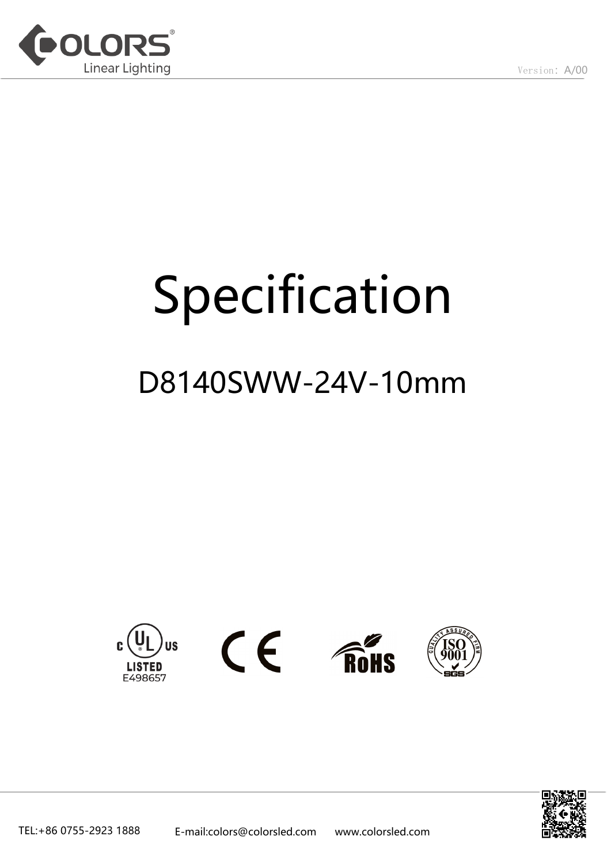

# Specification

# D8140SWW-24V-10mm



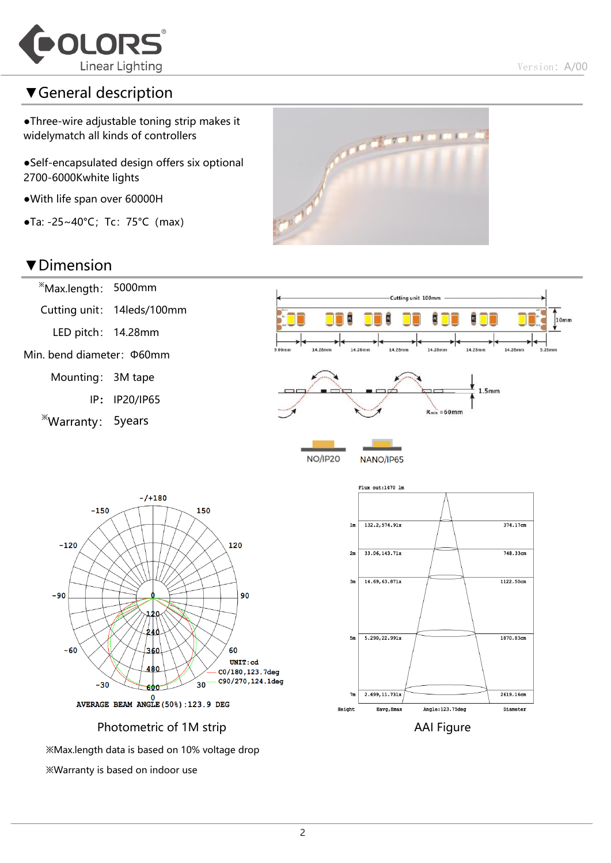

# ▼General description

●Three-wire adjustable toning strip makes it widelymatch all kinds of controllers

●Self-encapsulated design offers six optional 2700-6000Kwhite lights

●With life span over 60000H

 $\bullet$ Ta: -25~40°C; Tc: 75°C (max)

### ▼Dimension

※Max.length: 5000mm Cutting unit: 14leds/100mm LED pitch: 14.28mm Min. bend diameter:Φ60mm

Mounting: 3M tape

IP: IP20/IP65

※Warranty: 5years





1122.50cm

1870.83cm

2619.16cm

Diameter

 $14.69, 63.871x$ 

 $5.290.22.991x$ 

 $2.699, 11.731x$ 

Eavg, Emax

Angle:123.75deg

 $3m$ 

 $5m$ 

 $7<sub>m</sub>$ 

Height

 $- / + 180$  $-150$ 150  $-120$ 120  $-90$ 90 L20 240  $-60$ 60 360 UNIT:cd 480 C0/180,123.7deg C90/270,124.1deg  $30<sup>-</sup>$  $-30$ 600  $0$ <br>AVERAGE BEAM ANGLE (50%) : 123.9 DEG

Photometric of 1M strip AAI Figure

※Max.length data is based on 10% voltage drop

※Warranty is based on indoor use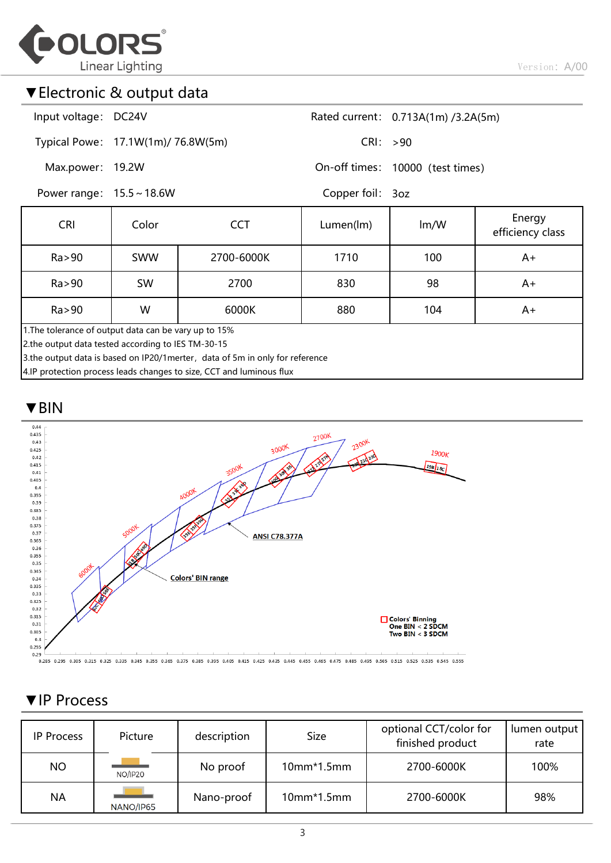

Version: A/00

### ▼Electronic & output data

| Input voltage: DC24V |                                    | Rated current: 0.713A(1m) /3.2A(5m) |
|----------------------|------------------------------------|-------------------------------------|
|                      | Typical Powe: 17.1W(1m)/ 76.8W(5m) | CRI: > 90                           |

On-off times: 10000 (test times)

Power range: 15.5 ~ 18.6W

Max.power: 19.2W

Copper foil: 3oz

| <b>CRI</b>                                                                                                                                                                                  | Color<br>CCT |            | Lumen(lm)<br>$\text{Im}/\text{W}$ |     | Energy<br>efficiency class |  |  |  |  |
|---------------------------------------------------------------------------------------------------------------------------------------------------------------------------------------------|--------------|------------|-----------------------------------|-----|----------------------------|--|--|--|--|
| Ra > 90                                                                                                                                                                                     | <b>SWW</b>   | 2700-6000K | 1710                              | 100 | A+                         |  |  |  |  |
| Ra > 90                                                                                                                                                                                     | SW           | 2700       | 830                               | 98  | A+                         |  |  |  |  |
| Ra > 90<br>W<br>880<br>104<br>6000K<br>A+                                                                                                                                                   |              |            |                                   |     |                            |  |  |  |  |
| 1. The tolerance of output data can be vary up to 15%<br>2.the output data tested according to IES TM-30-15<br>3.the output data is based on IP20/1merter, data of 5m in only for reference |              |            |                                   |     |                            |  |  |  |  |

4.IP protection process leads changes to size, CCT and luminous flux

#### ▼BIN



0.25 0.285 0.305 0.315 0.325 0.325 0.345 0.355 0.365 0.375 0.385 0.395 0.405 0.415 0.425 0.435 0.445 0.455 0.465 0.475 0.485 0.495 0.505 0.505 0.515 0.525 0.535 0.535 0.545 0.555

#### ▼IP Process

| <b>IP Process</b> | Picture   | description<br><b>Size</b> |              | optional CCT/color for<br>finished product | lumen output<br>rate |
|-------------------|-----------|----------------------------|--------------|--------------------------------------------|----------------------|
| <b>NO</b>         | NO/IP20   | No proof                   | $10mm*1.5mm$ | 2700-6000K                                 | 100%                 |
| <b>NA</b>         | NANO/IP65 | Nano-proof                 | $10mm*1.5mm$ | 2700-6000K                                 | 98%                  |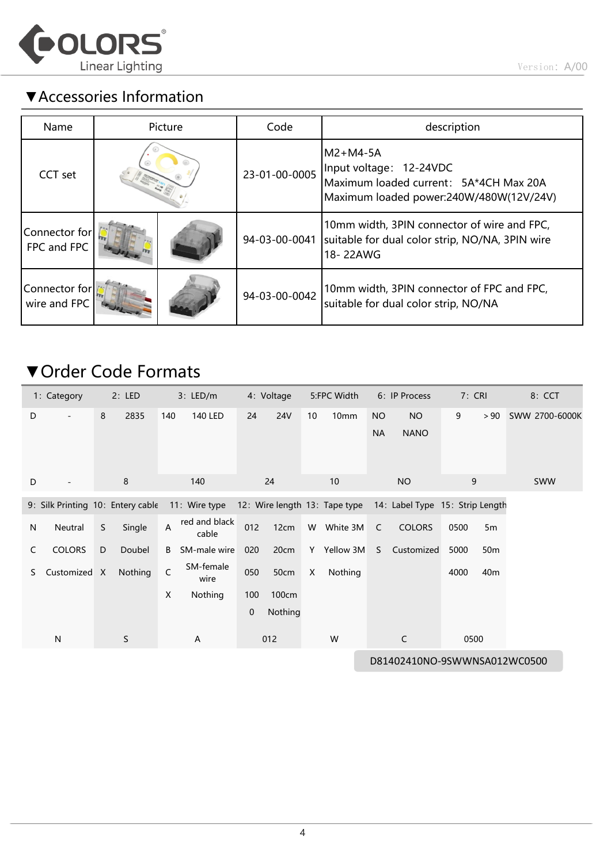

# ▼Accessories Information

| Name                          |  | Picture | Code          | description                                                                                                              |
|-------------------------------|--|---------|---------------|--------------------------------------------------------------------------------------------------------------------------|
| CCT set                       |  |         | 23-01-00-0005 | M2+M4-5A<br>Input voltage: 12-24VDC<br>Maximum loaded current: 5A*4CH Max 20A<br>Maximum loaded power:240W/480W(12V/24V) |
| Connector for<br>FPC and FPC  |  |         | 94-03-00-0041 | 10mm width, 3PIN connector of wire and FPC,<br>suitable for dual color strip, NO/NA, 3PIN wire<br>18-22AWG               |
| Connector for<br>wire and FPC |  |         | 94-03-00-0042 | 10mm width, 3PIN connector of FPC and FPC,<br>suitable for dual color strip, NO/NA                                       |

# ▼Order Code Formats

|   | 1: Category                       |   | 2: LED      | 3: LED/m       |                        |             | 4: Voltage<br>5:FPC Width |    | 6: IP Process                 |                        | 7: CRI                          |      |      | 8: CCT          |                |
|---|-----------------------------------|---|-------------|----------------|------------------------|-------------|---------------------------|----|-------------------------------|------------------------|---------------------------------|------|------|-----------------|----------------|
| D | $\overline{\phantom{0}}$          | 8 | 2835        | 140            | <b>140 LED</b>         | 24          | <b>24V</b>                | 10 | 10mm                          | <b>NO</b><br><b>NA</b> | <b>NO</b><br><b>NANO</b>        |      | 9    | > 90            | SWW 2700-6000K |
| D |                                   |   | 8           |                | 140                    |             | 24                        |    | 10                            |                        | <b>NO</b>                       |      | 9    |                 | <b>SWW</b>     |
|   | 9: Silk Printing 10: Entery cable |   |             |                | 11: Wire type          |             |                           |    | 12: Wire length 13: Tape type |                        | 14: Label Type 15: Strip Length |      |      |                 |                |
| N | Neutral                           | S | Single      | $\overline{A}$ | red and black<br>cable | 012         | 12cm                      | W  | White 3M                      | $\mathsf{C}$           | <b>COLORS</b>                   | 0500 |      | 5 <sub>m</sub>  |                |
| C | <b>COLORS</b>                     | D | Doubel      | B              | SM-male wire           | 020         | 20cm                      | Y  | Yellow 3M                     | S                      | Customized                      | 5000 |      | 50 <sub>m</sub> |                |
| S | Customized X                      |   | Nothing     | C              | SM-female<br>wire      | 050         | 50cm                      | X  | Nothing                       |                        |                                 | 4000 |      | 40 <sub>m</sub> |                |
|   |                                   |   |             | X              | Nothing                | 100         | 100cm                     |    |                               |                        |                                 |      |      |                 |                |
|   |                                   |   |             |                |                        | $\mathbf 0$ | Nothing                   |    |                               |                        |                                 |      |      |                 |                |
|   | N                                 |   | $\mathsf S$ |                | A                      |             | 012                       |    | W                             |                        | $\mathsf{C}$                    |      | 0500 |                 |                |
|   | D81402410NO-9SWWNSA012WC0500      |   |             |                |                        |             |                           |    |                               |                        |                                 |      |      |                 |                |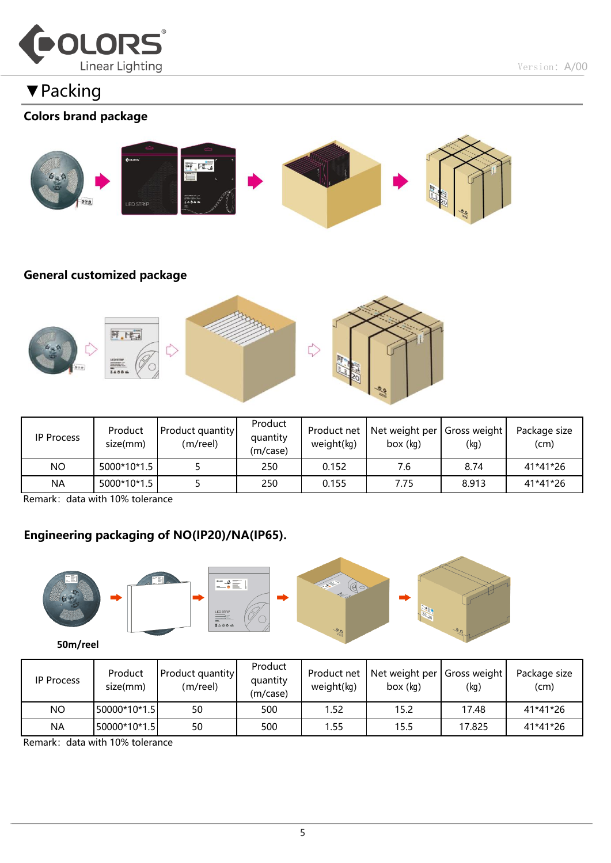

▼Packing

#### Colors brand package



#### General customized package



| <b>IP Process</b> | Product<br>size(mm) | Product quantity<br>(m/reel) | Product<br>quantity<br>(m/case) | Product net<br>weight(kq) | Net weight per<br>box (kg) | Gross weight<br>(kg) | Package size<br>(cm) |
|-------------------|---------------------|------------------------------|---------------------------------|---------------------------|----------------------------|----------------------|----------------------|
| NO                | 5000*10*1.5         |                              | 250                             | 0.152                     | 7.6                        | 8.74                 | 41*41*26             |
| <b>NA</b>         | 5000*10*1.5         |                              | 250                             | 0.155                     | 7.75                       | 8.913                | 41*41*26             |

Remark: data with 10% tolerance

#### Engineering packaging of NO(IP20)/NA(IP65).



| <b>IP Process</b> | Product<br>size(mm) | <b>Product quantity</b><br>(m/reel) | Product<br>quantity<br>(m/case) | Product net<br>weight(kq) | Net weight per Gross weight<br>box (kg) | (kg)   | Package size<br>(cm) |
|-------------------|---------------------|-------------------------------------|---------------------------------|---------------------------|-----------------------------------------|--------|----------------------|
| NO                | 50000*10*1.5        | 50                                  | 500                             | 1.52                      | 15.2                                    | 17.48  | 41*41*26             |
| <b>NA</b>         | 50000*10*1.5        | 50                                  | 500                             | 1.55                      | 15.5                                    | 17.825 | 41*41*26             |

Remark: data with 10% tolerance